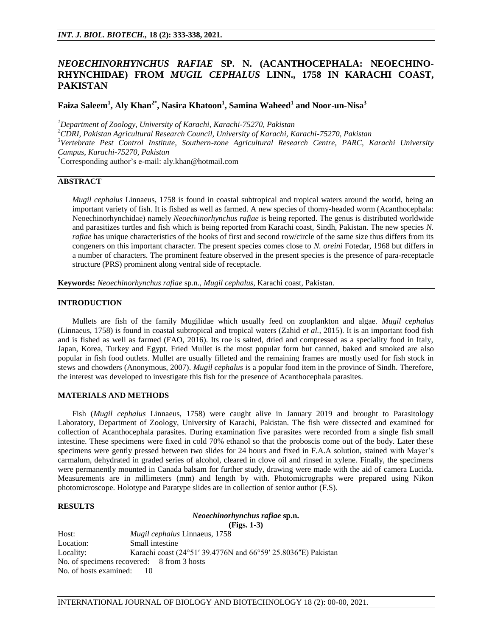# *NEOECHINORHYNCHUS RAFIAE* **SP. N. (ACANTHOCEPHALA: NEOECHINO-RHYNCHIDAE) FROM** *MUGIL CEPHALUS* **LINN., 1758 IN KARACHI COAST, PAKISTAN**

## **Faiza Saleem<sup>1</sup> , Aly Khan2\*, Nasira Khatoon<sup>1</sup> , Samina Waheed<sup>1</sup> and Noor-un-Nisa<sup>3</sup>**

*<sup>1</sup>Department of Zoology, University of Karachi, Karachi-75270, Pakistan*

*<sup>2</sup>CDRI, Pakistan Agricultural Research Council, University of Karachi, Karachi-75270, Pakistan <sup>3</sup>Vertebrate Pest Control Institute, Southern-zone Agricultural Research Centre, PARC, Karachi University Campus, Karachi-75270, Pakistan*

\*Corresponding author's e-mail: aly.khan@hotmail.com

## **ABSTRACT**

*Mugil cephalus* Linnaeus, 1758 is found in coastal subtropical and tropical waters around the world, being an important variety of fish. It is fished as well as farmed. A new species of thorny-headed worm (Acanthocephala: Neoechinorhynchidae) namely *Neoechinorhynchus rafiae* is being reported. The genus is distributed worldwide and parasitizes turtles and fish which is being reported from Karachi coast, Sindh, Pakistan. The new species *N. rafiae* has unique characteristics of the hooks of first and second row/circle of the same size thus differs from its congeners on this important character. The present species comes close to *N. oreini* Fotedar, 1968 but differs in a number of characters. The prominent feature observed in the present species is the presence of para-receptacle structure (PRS) prominent along ventral side of receptacle.

**Keywords:** *Neoechinorhynchus rafiae* sp.n., *Mugil cephalus,* Karachi coast, Pakistan.

#### **INTRODUCTION**

Mullets are fish of the family Mugilidae which usually feed on zooplankton and algae. *Mugil cephalus*  (Linnaeus, 1758) is found in coastal subtropical and tropical waters (Zahid *et al.,* 2015). It is an important food fish and is fished as well as farmed (FAO, 2016). Its roe is salted, dried and compressed as a speciality food in Italy, Japan, Korea, Turkey and Egypt. Fried Mullet is the most popular form but canned, baked and smoked are also popular in fish food outlets. Mullet are usually filleted and the remaining frames are mostly used for fish stock in stews and chowders (Anonymous, 2007). *Mugil cephalus* is a popular food item in the province of Sindh. Therefore, the interest was developed to investigate this fish for the presence of Acanthocephala parasites.

### **MATERIALS AND METHODS**

Fish (*Mugil cephalus* Linnaeus, 1758) were caught alive in January 2019 and brought to Parasitology Laboratory, Department of Zoology, University of Karachi, Pakistan. The fish were dissected and examined for collection of Acanthocephala parasites. During examination five parasites were recorded from a single fish small intestine. These specimens were fixed in cold 70% ethanol so that the proboscis come out of the body. Later these specimens were gently pressed between two slides for 24 hours and fixed in F.A.A solution, stained with Mayer's carmalum, dehydrated in graded series of alcohol, cleared in clove oil and rinsed in xylene. Finally, the specimens were permanently mounted in Canada balsam for further study, drawing were made with the aid of camera Lucida. Measurements are in millimeters (mm) and length by with. Photomicrographs were prepared using Nikon photomicroscope. Holotype and Paratype slides are in collection of senior author (F.S).

### **RESULTS**

#### *Neoechinorhynchus rafiae* **sp.n. (Figs. 1-3)**

Host: *Mugil cephalus* Linnaeus, 1758 Location: Small intestine Locality: Karachi coast (24°51′ 39.4776N and 66°59′ 25.8036<sup>*r*</sup>E) Pakistan No. of specimens recovered: 8 from 3 hosts No. of hosts examined: 10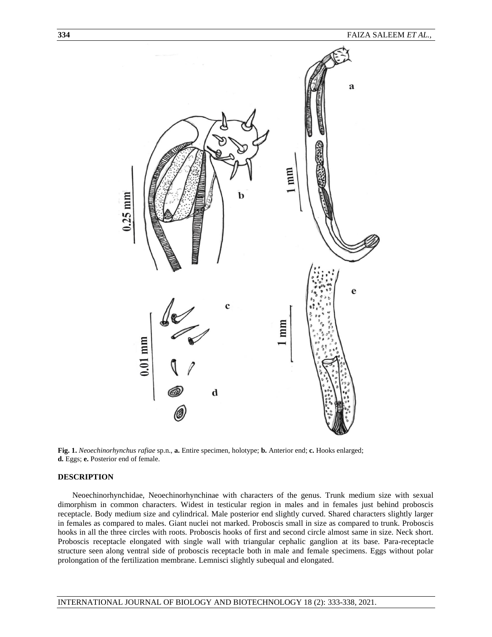

**Fig. 1.** *Neoechinorhynchus rafiae* sp.n., **a.** Entire specimen, holotype; **b.** Anterior end; **c.** Hooks enlarged; **d.** Eggs; **e.** Posterior end of female.

#### **DESCRIPTION**

Neoechinorhynchidae, Neoechinorhynchinae with characters of the genus. Trunk medium size with sexual dimorphism in common characters. Widest in testicular region in males and in females just behind proboscis receptacle. Body medium size and cylindrical. Male posterior end slightly curved. Shared characters slightly larger in females as compared to males. Giant nuclei not marked. Proboscis small in size as compared to trunk. Proboscis hooks in all the three circles with roots. Proboscis hooks of first and second circle almost same in size. Neck short. Proboscis receptacle elongated with single wall with triangular cephalic ganglion at its base. Para-receptacle structure seen along ventral side of proboscis receptacle both in male and female specimens. Eggs without polar prolongation of the fertilization membrane. Lemnisci slightly subequal and elongated.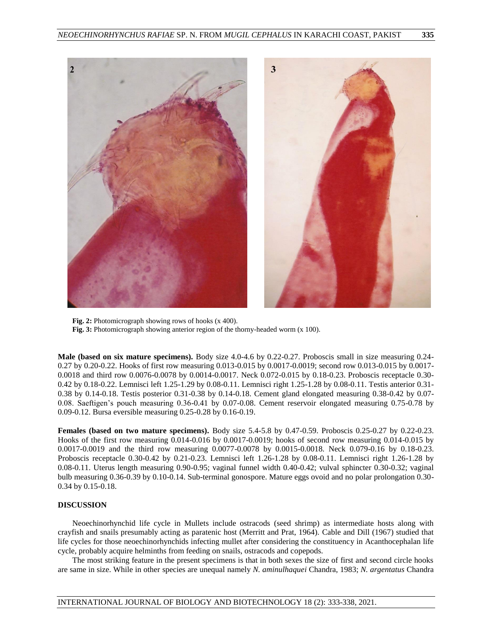

**Fig. 2:** Photomicrograph showing rows of hooks (x 400). **Fig. 3:** Photomicrograph showing anterior region of the thorny-headed worm (x 100).

**Male (based on six mature specimens).** Body size 4.0-4.6 by 0.22-0.27. Proboscis small in size measuring 0.24- 0.27 by 0.20-0.22. Hooks of first row measuring 0.013-0.015 by 0.0017-0.0019; second row 0.013-0.015 by 0.0017- 0.0018 and third row 0.0076-0.0078 by 0.0014-0.0017. Neck 0.072-0.015 by 0.18-0.23. Proboscis receptacle 0.30- 0.42 by 0.18-0.22. Lemnisci left 1.25-1.29 by 0.08-0.11. Lemnisci right 1.25-1.28 by 0.08-0.11. Testis anterior 0.31- 0.38 by 0.14-0.18. Testis posterior 0.31-0.38 by 0.14-0.18. Cement gland elongated measuring 0.38-0.42 by 0.07- 0.08. Saeftigen's pouch measuring 0.36-0.41 by 0.07-0.08. Cement reservoir elongated measuring 0.75-0.78 by 0.09-0.12. Bursa eversible measuring 0.25-0.28 by 0.16-0.19.

**Females (based on two mature specimens).** Body size 5.4-5.8 by 0.47-0.59. Proboscis 0.25-0.27 by 0.22-0.23. Hooks of the first row measuring 0.014-0.016 by 0.0017-0.0019; hooks of second row measuring 0.014-0.015 by 0.0017-0.0019 and the third row measuring 0.0077-0.0078 by 0.0015-0.0018. Neck 0.079-0.16 by 0.18-0.23. Proboscis receptacle 0.30-0.42 by 0.21-0.23. Lemnisci left 1.26-1.28 by 0.08-0.11. Lemnisci right 1.26-1.28 by 0.08-0.11. Uterus length measuring 0.90-0.95; vaginal funnel width 0.40-0.42; vulval sphincter 0.30-0.32; vaginal bulb measuring 0.36-0.39 by 0.10-0.14. Sub-terminal gonospore. Mature eggs ovoid and no polar prolongation 0.30- 0.34 by 0.15-0.18.

## **DISCUSSION**

Neoechinorhynchid life cycle in Mullets include ostracods (seed shrimp) as intermediate hosts along with crayfish and snails presumably acting as paratenic host (Merritt and Prat, 1964). Cable and Dill (1967) studied that life cycles for those neoechinorhynchids infecting mullet after considering the constituency in Acanthocephalan life cycle, probably acquire helminths from feeding on snails, ostracods and copepods.

The most striking feature in the present specimens is that in both sexes the size of first and second circle hooks are same in size. While in other species are unequal namely *N. aminulhaquei* Chandra, 1983; *N. argentatus* Chandra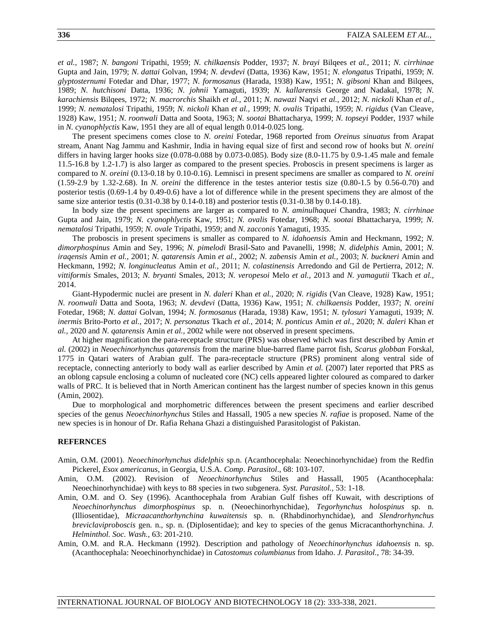*et al.,* 1987; *N. bangoni* Tripathi, 1959; *N. chilkaensis* Podder, 1937; *N. brayi* Bilqees *et al.,* 2011; *N. cirrhinae*  Gupta and Jain, 1979; *N. dattai* Golvan, 1994; *N. devdevi* (Datta, 1936) Kaw, 1951; *N. elongatus* Tripathi, 1959; *N. glyptosternumi* Fotedar and Dhar, 1977; *N. formosanus* (Harada, 1938) Kaw, 1951; *N. gibsoni* Khan and Bilqees, 1989; *N. hutchisoni* Datta, 1936; *N. johnii* Yamaguti, 1939; *N. kallarensis* George and Nadakal, 1978; *N. karachiensis* Bilqees, 1972; *N. macrorchis* Shaikh *et al.,* 2011; *N. nawazi* Naqvi *et al.,* 2012; *N. nickoli* Khan *et al.,*  1999; *N. nematalosi* Tripathi, 1959; *N. nickoli* Khan *et al.,* 1999; *N. ovalis* Tripathi, 1959; *N. rigidus* (Van Cleave, 1928) Kaw, 1951; *N. roonwali* Datta and Soota, 1963; *N. sootai* Bhattacharya, 1999; *N. topseyi* Podder, 1937 while in *N. cyanophlyctis* Kaw, 1951 they are all of equal length 0.014-0.025 long.

The present specimens comes close to *N. oreini* Fotedar, 1968 reported from *Oreinus sinuatus* from Arapat stream, Anant Nag Jammu and Kashmir, India in having equal size of first and second row of hooks but *N. oreini*  differs in having larger hooks size (0.078-0.088 by 0.073-0.085). Body size (8.0-11.75 by 0.9-1.45 male and female 11.5-16.8 by 1.2-1.7) is also larger as compared to the present species. Proboscis in present specimens is larger as compared to *N. oreini* (0.13-0.18 by 0.10-0.16). Lemnisci in present specimens are smaller as compared to *N. oreini*  (1.59-2.9 by 1.32-2.68). In *N. oreini* the difference in the testes anterior testis size (0.80-1.5 by 0.56-0.70) and posterior testis (0.69-1.4 by 0.49-0.6) have a lot of difference while in the present specimens they are almost of the same size anterior testis (0.31-0.38 by 0.14-0.18) and posterior testis (0.31-0.38 by 0.14-0.18).

In body size the present specimens are larger as compared to *N. aminulhaquei* Chandra, 1983; *N. cirrhinae*  Gupta and Jain, 1979; *N. cyanophlyctis* Kaw, 1951; *N. ovalis* Fotedar, 1968; *N. sootai* Bhattacharya, 1999; *N. nematalosi* Tripathi, 1959; *N. ovale* Tripathi, 1959; and *N. zacconis* Yamaguti, 1935.

The proboscis in present specimens is smaller as compared to *N. idahoensis* Amin and Heckmann, 1992; *N. dimorphospinus* Amin and Sey, 1996; *N. pimelodi* Brasil-Sato and Pavanelli, 1998; *N. didelphis* Amin, 2001; *N. iraqensis* Amin *et al.,* 2001; *N. qatarensis* Amin *et al.,* 2002; *N. zabensis* Amin *et al.,* 2003; *N. buckneri* Amin and Heckmann, 1992; *N. longinucleatus* Amin *et al.,* 2011; *N. colastinensis* Arredondo and Gil de Pertierra, 2012; *N. vittiformis* Smales, 2013; *N. bryanti* Smales, 2013; *N. veropesoi* Melo *et al.,* 2013 and *N. yamagutii* Tkach *et al.,*  2014.

Giant-Hypodermic nuclei are present in *N. daleri* Khan *et al.,* 2020; *N. rigidis* (Van Cleave, 1928) Kaw, 1951; *N. roonwali* Datta and Soota, 1963; *N. devdevi* (Datta, 1936) Kaw, 1951; *N. chilkaensis* Podder, 1937; *N. oreini*  Fotedar, 1968; *N. dattai* Golvan, 1994; *N. formosanus* (Harada, 1938) Kaw, 1951; *N. tylosuri* Yamaguti, 1939; *N. inermis* Brito-Porto *et al.,* 2017; *N. personatus* Tkach *et al.,* 2014; *N. ponticus* Amin *et al.,* 2020; *N. daleri* Khan *et al.,* 2020 and *N. qatarensis* Amin *et al.,* 2002 while were not observed in present specimens.

At higher magnification the para-receptacle structure (PRS) was observed which was first described by Amin *et al.* (2002) in *Neoechinorhynchus qatarensis* from the marine blue-barred flame parrot fish, *Scarus globban* Forskal, 1775 in Qatari waters of Arabian gulf. The para-receptacle structure (PRS) prominent along ventral side of receptacle, connecting anteriorly to body wall as earlier described by Amin *et al.* (2007) later reported that PRS as an oblong capsule enclosing a column of nucleated core (NC) cells appeared lighter coloured as compared to darker walls of PRC. It is believed that in North American continent has the largest number of species known in this genus (Amin, 2002).

Due to morphological and morphometric differences between the present specimens and earlier described species of the genus *Neoechinorhynchus* Stiles and Hassall, 1905 a new species *N. rafiae* is proposed. Name of the new species is in honour of Dr. Rafia Rehana Ghazi a distinguished Parasitologist of Pakistan.

#### **REFERNCES**

- Amin, O.M. (2001). *Neoechinorhynchus didelphis* sp.n. (Acanthocephala: Neoechinorhynchidae) from the Redfin Pickerel, *Esox americanus*, in Georgia, U.S.A. *Comp*. *Parasitol*., 68: 103-107.
- Amin, O.M. (2002). Revision of *Neoechinorhynchus* Stiles and Hassall, 1905 (Acanthocephala: Neoechinorhynchidae) with keys to 88 species in two subgenera. *Syst. Parasitol.,* 53: 1-18.
- Amin, O.M. and O. Sey (1996). Acanthocephala from Arabian Gulf fishes off Kuwait, with descriptions of *Neoechinorhynchus dimorphospinus* sp. n. (Neoechinorhynchidae), *Tegorhynchus holospinus* sp. n. (Illiosentidae), *Micraacanthorhynchina kuwaitensis* sp. n. (Rhabdinorhynchidae), and *Slendrorhynchus breviclaviproboscis* gen. n., sp. n. (Diplosentidae); and key to species of the genus Micracanthorhynchina. *J. Helminthol. Soc. Wash.,* 63: 201-210.
- Amin, O.M. and R.A. Heckmann (1992). Description and pathology of *Neoechinorhynchus idahoensis* n. sp. (Acanthocephala: Neoechinorhynchidae) in *Catostomus columbianus* from Idaho. *J. Parasitol.,* 78: 34-39.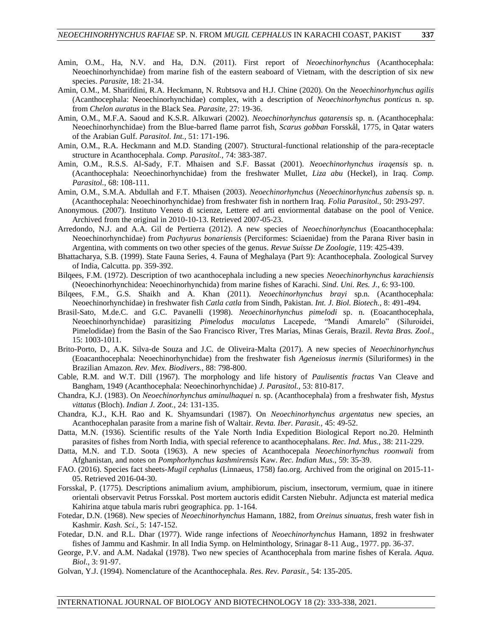- Amin, O.M., Ha, N.V. and Ha, D.N. (2011). First report of *Neoechinorhynchus* (Acanthocephala: Neoechinorhynchidae) from marine fish of the eastern seaboard of Vietnam, with the description of six new species. *Parasite*, 18: 21-34.
- Amin, O.M., M. Sharifdini, R.A. Heckmann, N. Rubtsova and H.J. Chine (2020). On the *Neoechinorhynchus agilis*  (Acanthocephala: Neoechinorhynchidae) complex, with a description of *Neoechinorhynchus ponticus* n. sp. from *Chelon auratus* in the Black Sea. *Parasite,* 27: 19-36.
- Amin, O.M., M.F.A. Saoud and K.S.R. Alkuwari (2002). *Neoechinorhynchus qatarensis* sp. n. (Acanthocephala: Neoechinorhynchidae) from the Blue-barred flame parrot fish, *Scarus gobban* Forsskål, 1775, in Qatar waters of the Arabian Gulf. *Parasitol. Int.,* 51: 171-196.
- Amin, O.M., R.A. Heckmann and M.D. Standing (2007). Structural-functional relationship of the para-receptacle structure in Acanthocephala. *Comp. Parasitol.,* 74: 383-387.
- Amin, O.M., R.S.S. Al-Sady, F.T. Mhaisen and S.F. Bassat (2001). *Neoechinorhynchus iraqensis* sp. n. (Acanthocephala: Neoechinorhynchidae) from the freshwater Mullet, *Liza abu* (Heckel), in Iraq. *Comp. Parasitol.,* 68: 108-111.
- Amin, O.M., S.M.A. Abdullah and F.T. Mhaisen (2003). *Neoechinorhynchus* (*Neoechinorhynchus zabensis* sp. n. (Acanthocephala: Neoechinorhynchidae) from freshwater fish in northern Iraq. *Folia Parasitol.,* 50: 293-297.
- Anonymous. (2007). Instituto Veneto di scienze, Lettere ed arti enviormental database on the pool of Venice. Archived from the original in 2010-10-13. Retrieved 2007-05-23.
- Arredondo, N.J. and A.A. Gil de Pertierra (2012). A new species of *Neoechinorhynchus* (Eoacanthocephala: Neoechinorhynchidae) from *Pachyurus bonariensis* (Perciformes: Sciaenidae) from the Parana River basin in Argentina, with comments on two other species of the genus. *Revue Suisse De Zoologie*, 119: 425-439.
- Bhattacharya, S.B. (1999). State Fauna Series, 4. Fauna of Meghalaya (Part 9): Acanthocephala. Zoological Survey of India, Calcutta. pp. 359-392.
- Bilqees, F.M. (1972). Description of two acanthocephala including a new species *Neoechinorhynchus karachiensis* (Neoechinorhynchidea: Neoechinorhynchida) from marine fishes of Karachi. *Sind. Uni. Res. J.,* 6: 93-100.
- Bilqees, F.M., G.S. Shaikh and A. Khan (2011). *Neoechinorhynchus brayi* sp.n. (Acanthocephala: Neoechinorhynchidae) in freshwater fish *Catla catla* from Sindh, Pakistan. *Int. J. Biol. Biotech.,* 8: 491-494.
- Brasil-Sato, M.de.C. and G.C. Pavanelli (1998). *Neoechinorhynchus pimelodi* sp. n. (Eoacanthocephala, Neoechinorhynchidae) parasitizing *Pimelodus maculatus* Lacepede, "Mandi Amarelo" (Siluroidei, Pimelodidae) from the Basin of the Sao Francisco River, Tres Marias, Minas Gerais, Brazil. *Revta Bras. Zool*., 15: 1003-1011.
- Brito-Porto, D., A.K. Silva-de Souza and J.C. de Oliveira-Malta (2017). A new species of *Neoechinorhynchus*  (Eoacanthocephala: Neoechinorhynchidae) from the freshwater fish *Ageneiosus inermis* (Siluriformes) in the Brazilian Amazon. *Rev. Mex. Biodivers.,* 88: 798-800.
- Cable, R.M. and W.T. Dill (1967). The morphology and life history of *Paulisentis fractas* Van Cleave and Bangham, 1949 (Acanthocephala: Neoechinorhynchidae) *J. Parasitol.,* 53: 810-817.
- Chandra, K.J. (1983). On *Neoechinorhynchus aminulhaquei* n. sp. (Acanthocephala) from a freshwater fish, *Mystus vittatus* (Bloch). *Indian J. Zoot.,* 24: 131-135.
- Chandra, K.J., K.H. Rao and K. Shyamsundari (1987). On *Neoechinorhynchus argentatus* new species, an Acanthocephalan parasite from a marine fish of Waltair*. Revta. Iber. Parasit.,* 45: 49-52.
- Datta, M.N. (1936). Scientific results of the Yale North India Expedition Biological Report no.20. Helminth parasites of fishes from North India, with special reference to acanthocephalans*. Rec. Ind. Mus.,* 38: 211-229.
- Datta, M.N. and T.D. Soota (1963). A new species of Acanthocepala *Neoechinorhynchus roonwali* from Afghanistan, and notes on *Pomphorhynchus kashmirensis* Kaw. *Rec. Indian Mus.,* 59: 35-39.
- FAO. (2016). Species fact sheets-*Mugil cephalus* (Linnaeus, 1758) fao.org. Archived from the original on 2015-11- 05. Retrieved 2016-04-30.
- Forsskal, P. (1775). Descriptions animalium avium, amphibiorum, piscium, insectorum, vermium, quae in itinere orientali observavit Petrus Forsskal. Post mortem auctoris edidit Carsten Niebuhr. Adjuncta est material medica Kahirina atque tabula maris rubri geographica. pp. 1-164.
- Fotedar, D.N. (1968). New species of *Neoechinorhynchus* Hamann, 1882, from *Oreinus sinuatus*, fresh water fish in Kashmir. *Kash. Sci.,* 5: 147-152.
- Fotedar, D.N. and R.L. Dhar (1977). Wide range infections of *Neoechinorhynchus* Hamann, 1892 in freshwater fishes of Jammu and Kashmir. In all India Symp. on Helminthology, Srinagar 8-11 Aug., 1977. pp. 36-37.
- George, P.V. and A.M. Nadakal (1978). Two new species of Acanthocephala from marine fishes of Kerala. *Aqua. Biol.,* 3: 91-97.
- Golvan, Y.J. (1994). Nomenclature of the Acanthocephala. *Res. Rev. Parasit.,* 54: 135-205.